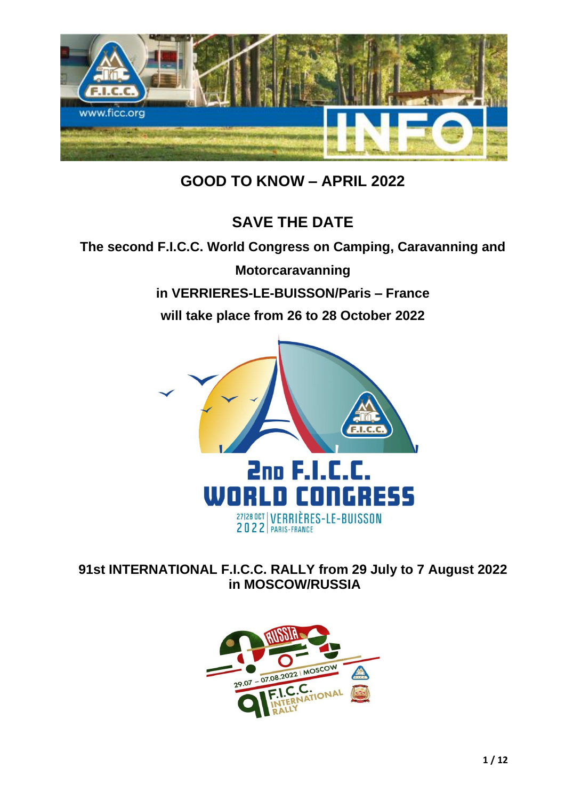

**GOOD TO KNOW – APRIL 2022**

# **SAVE THE DATE**

### **The second F.I.C.C. World Congress on Camping, Caravanning and**

**Motorcaravanning in VERRIERES-LE-BUISSON/Paris – France will take place from 26 to 28 October 2022**



**91st INTERNATIONAL F.I.C.C. RALLY from 29 July to 7 August 2022 in MOSCOW/RUSSIA**

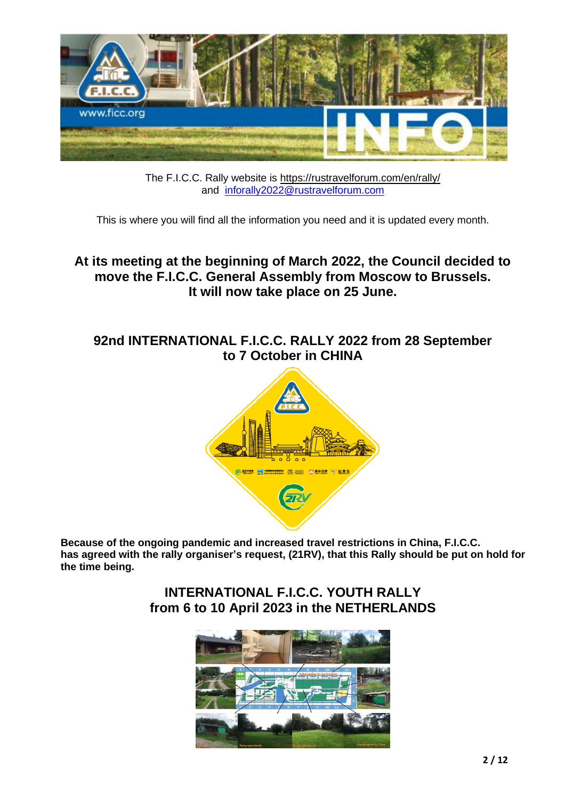

The F.I.C.C. Rally website is <https://rustravelforum.com/en/rally/> and [inforally2022@rustravelforum.com](mailto:inforally2022@rustravelforum.com)

This is where you will find all the information you need and it is updated every month.

# **At its meeting at the beginning of March 2022, the Council decided to move the F.I.C.C. General Assembly from Moscow to Brussels. It will now take place on 25 June.**

# **92nd INTERNATIONAL F.I.C.C. RALLY 2022 from 28 September to 7 October in CHINA**



**Because of the ongoing pandemic and increased travel restrictions in China, F.I.C.C. has agreed with the rally organiser's request, (21RV), that this Rally should be put on hold for the time being.**

> **INTERNATIONAL F.I.C.C. YOUTH RALLY from 6 to 10 April 2023 in the NETHERLANDS**

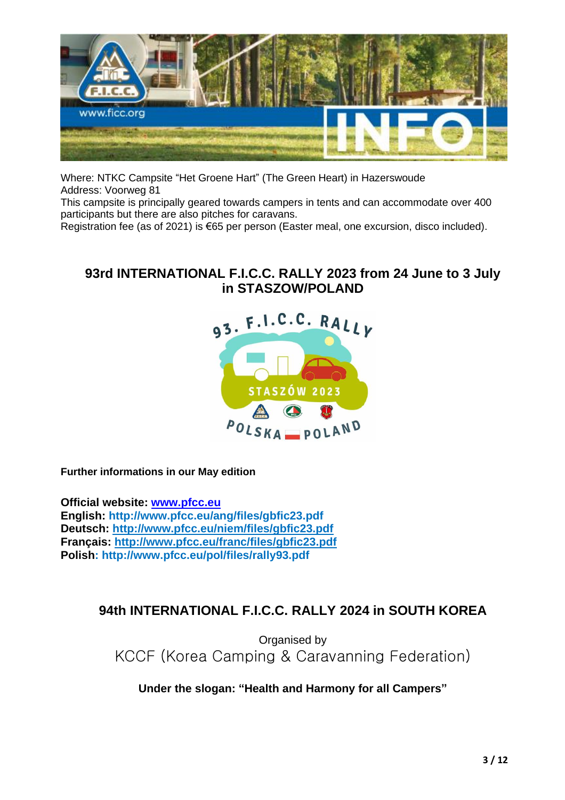

Where: NTKC Campsite "Het Groene Hart" (The Green Heart) in Hazerswoude Address: Voorweg 81

This campsite is principally geared towards campers in tents and can accommodate over 400 participants but there are also pitches for caravans.

Registration fee (as of 2021) is €65 per person (Easter meal, one excursion, disco included).

### **93rd INTERNATIONAL F.I.C.C. RALLY 2023 from 24 June to 3 July in STASZOW/POLAND**



**Further informations in our May edition**

**Official website: [www.pfcc.eu](http://www.pfcc.eu/) English: http://www.pfcc.eu/ang/files/gbfic23.pdf Deutsch: <http://www.pfcc.eu/niem/files/gbfic23.pdf> Français:<http://www.pfcc.eu/franc/files/gbfic23.pdf> Polish: http://www.pfcc.eu/pol/files/rally93.pdf**

# **94th INTERNATIONAL F.I.C.C. RALLY 2024 in SOUTH KOREA**

Organised by KCCF (Korea Camping & Caravanning Federation)

**Under the slogan: "Health and Harmony for all Campers"**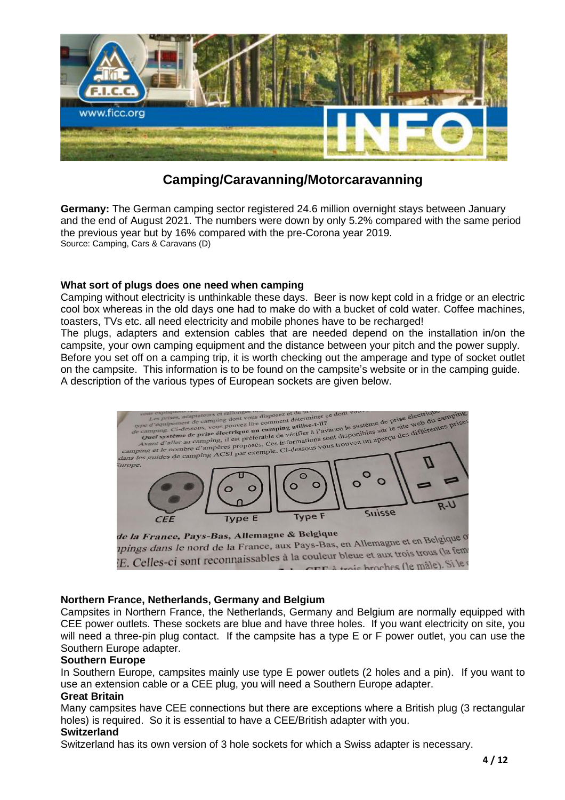

# **Camping/Caravanning/Motorcaravanning**

**Germany:** The German camping sector registered 24.6 million overnight stays between January and the end of August 2021. The numbers were down by only 5.2% compared with the same period the previous year but by 16% compared with the pre-Corona year 2019. Source: Camping, Cars & Caravans (D)

#### **What sort of plugs does one need when camping**

Camping without electricity is unthinkable these days. Beer is now kept cold in a fridge or an electric cool box whereas in the old days one had to make do with a bucket of cold water. Coffee machines, toasters, TVs etc. all need electricity and mobile phones have to be recharged!

The plugs, adapters and extension cables that are needed depend on the installation in/on the campsite, your own camping equipment and the distance between your pitch and the power supply. Before you set off on a camping trip, it is worth checking out the amperage and type of socket outlet on the campsite. This information is to be found on the campsite's website or in the camping guide. A description of the various types of European sockets are given below.



is broches (le mâle). Si le

#### **Northern France, Netherlands, Germany and Belgium**

Campsites in Northern France, the Netherlands, Germany and Belgium are normally equipped with CEE power outlets. These sockets are blue and have three holes. If you want electricity on site, you will need a three-pin plug contact. If the campsite has a type E or F power outlet, you can use the Southern Europe adapter.

#### **Southern Europe**

In Southern Europe, campsites mainly use type E power outlets (2 holes and a pin). If you want to use an extension cable or a CEE plug, you will need a Southern Europe adapter.

#### **Great Britain**

Many campsites have CEE connections but there are exceptions where a British plug (3 rectangular holes) is required. So it is essential to have a CEE/British adapter with you.

#### **Switzerland**

Switzerland has its own version of 3 hole sockets for which a Swiss adapter is necessary.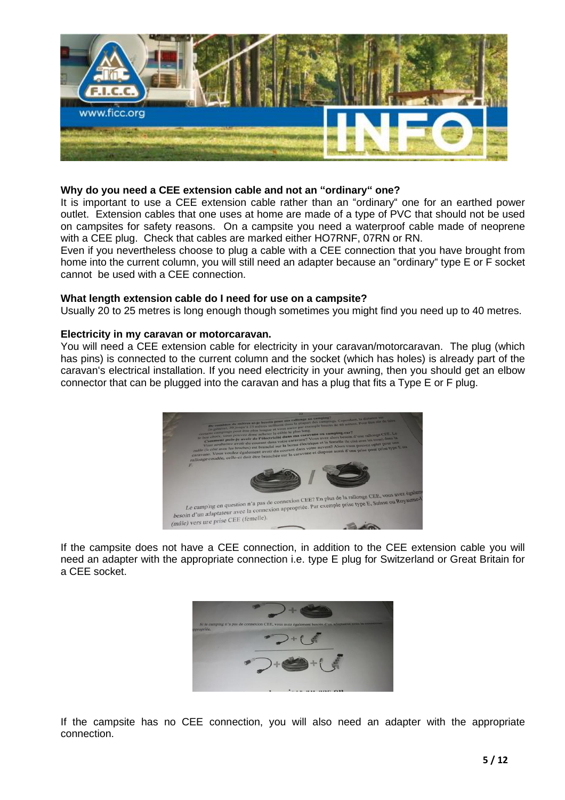

#### **Why do you need a CEE extension cable and not an "ordinary" one?**

It is important to use a CEE extension cable rather than an "ordinary" one for an earthed power outlet. Extension cables that one uses at home are made of a type of PVC that should not be used on campsites for safety reasons. On a campsite you need a waterproof cable made of neoprene with a CEE plug. Check that cables are marked either HO7RNF, 07RN or RN.

Even if you nevertheless choose to plug a cable with a CEE connection that you have brought from home into the current column, you will still need an adapter because an "ordinary" type E or F socket cannot be used with a CEE connection.

#### **What length extension cable do I need for use on a campsite?**

Usually 20 to 25 metres is long enough though sometimes you might find you need up to 40 metres.

#### **Electricity in my caravan or motorcaravan.**

You will need a CEE extension cable for electricity in your caravan/motorcaravan. The plug (which has pins) is connected to the current column and the socket (which has holes) is already part of the caravan's electrical installation. If you need electricity in your awning, then you should get an elbow connector that can be plugged into the caravan and has a plug that fits a Type E or F plug.



If the campsite does not have a CEE connection, in addition to the CEE extension cable you will need an adapter with the appropriate connection i.e. type E plug for Switzerland or Great Britain for a CEE socket.



If the campsite has no CEE connection, you will also need an adapter with the appropriate connection.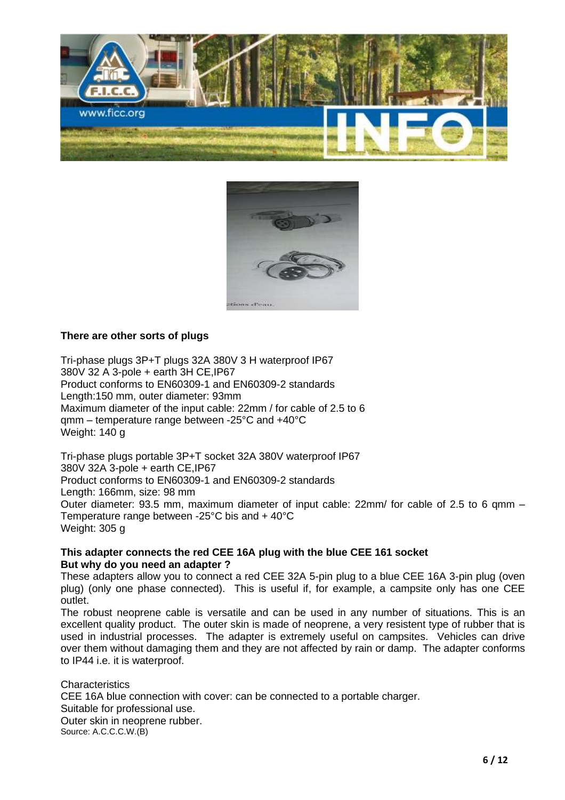



### **There are other sorts of plugs**

Tri-phase plugs 3P+T plugs 32A 380V 3 H waterproof IP67 380V 32 A 3-pole + earth 3H CE,IP67 Product conforms to EN60309-1 and EN60309-2 standards Length:150 mm, outer diameter: 93mm Maximum diameter of the input cable: 22mm / for cable of 2.5 to 6 qmm – temperature range between -25°C and +40°C Weight: 140 g

Tri-phase plugs portable 3P+T socket 32A 380V waterproof IP67 380V 32A 3-pole + earth CE,IP67 Product conforms to EN60309-1 and EN60309-2 standards Length: 166mm, size: 98 mm Outer diameter: 93.5 mm, maximum diameter of input cable: 22mm/ for cable of 2.5 to 6 qmm – Temperature range between -25°C bis and + 40°C Weight: 305 g

#### **This adapter connects the red CEE 16A plug with the blue CEE 161 socket But why do you need an adapter ?**

These adapters allow you to connect a red CEE 32A 5-pin plug to a blue CEE 16A 3-pin plug (oven plug) (only one phase connected). This is useful if, for example, a campsite only has one CEE outlet.

The robust neoprene cable is versatile and can be used in any number of situations. This is an excellent quality product. The outer skin is made of neoprene, a very resistent type of rubber that is used in industrial processes. The adapter is extremely useful on campsites. Vehicles can drive over them without damaging them and they are not affected by rain or damp. The adapter conforms to IP44 i.e. it is waterproof.

**Characteristics** CEE 16A blue connection with cover: can be connected to a portable charger. Suitable for professional use. Outer skin in neoprene rubber. Source: A.C.C.C.W.(B)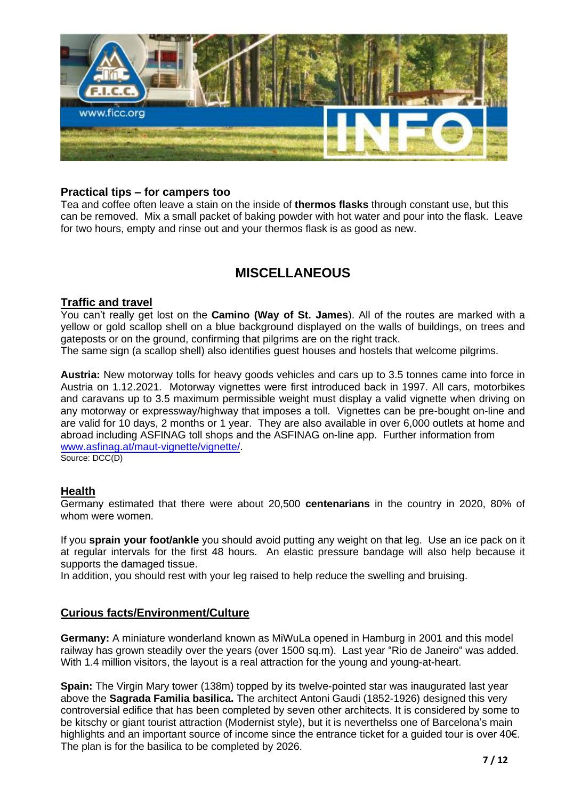

### **Practical tips – for campers too**

Tea and coffee often leave a stain on the inside of **thermos flasks** through constant use, but this can be removed. Mix a small packet of baking powder with hot water and pour into the flask. Leave for two hours, empty and rinse out and your thermos flask is as good as new.

# **MISCELLANEOUS**

### **Traffic and travel**

You can't really get lost on the **Camino (Way of St. James**). All of the routes are marked with a yellow or gold scallop shell on a blue background displayed on the walls of buildings, on trees and gateposts or on the ground, confirming that pilgrims are on the right track.

The same sign (a scallop shell) also identifies guest houses and hostels that welcome pilgrims.

**Austria:** New motorway tolls for heavy goods vehicles and cars up to 3.5 tonnes came into force in Austria on 1.12.2021. Motorway vignettes were first introduced back in 1997. All cars, motorbikes and caravans up to 3.5 maximum permissible weight must display a valid vignette when driving on any motorway or expressway/highway that imposes a toll. Vignettes can be pre-bought on-line and are valid for 10 days, 2 months or 1 year. They are also available in over 6,000 outlets at home and abroad including ASFINAG toll shops and the ASFINAG on-line app. Further information from [www.asfinag.at/maut-vignette/vignette/.](http://www.asfinag.at/maut-vignette/vignette/)

Source: DCC(D)

### **Health**

Germany estimated that there were about 20,500 **centenarians** in the country in 2020, 80% of whom were women.

If you **sprain your foot/ankle** you should avoid putting any weight on that leg. Use an ice pack on it at regular intervals for the first 48 hours. An elastic pressure bandage will also help because it supports the damaged tissue.

In addition, you should rest with your leg raised to help reduce the swelling and bruising.

### **Curious facts/Environment/Culture**

**Germany:** A miniature wonderland known as MiWuLa opened in Hamburg in 2001 and this model railway has grown steadily over the years (over 1500 sq.m). Last year "Rio de Janeiro" was added. With 1.4 million visitors, the layout is a real attraction for the young and young-at-heart.

**Spain:** The Virgin Mary tower (138m) topped by its twelve-pointed star was inaugurated last year above the **Sagrada Familia basilica.** The architect Antoni Gaudi (1852-1926) designed this very controversial edifice that has been completed by seven other architects. It is considered by some to be kitschy or giant tourist attraction (Modernist style), but it is neverthelss one of Barcelona's main highlights and an important source of income since the entrance ticket for a guided tour is over 40€. The plan is for the basilica to be completed by 2026.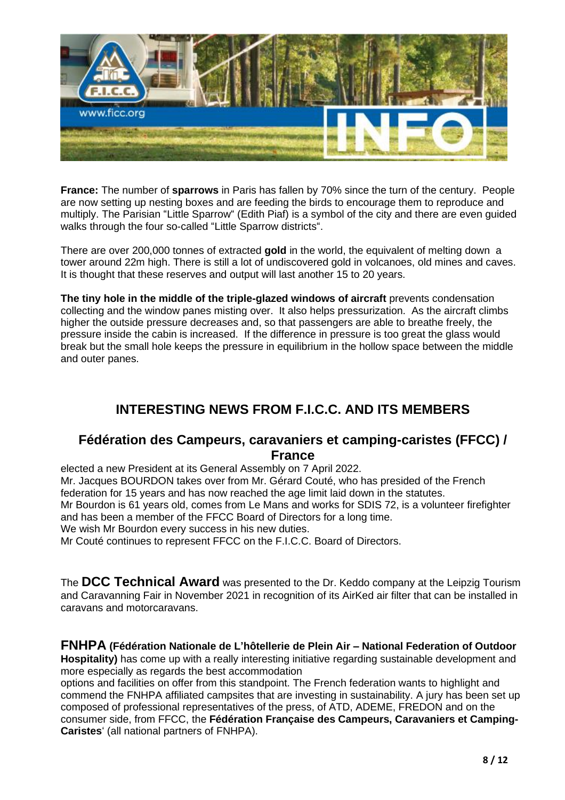

**France:** The number of **sparrows** in Paris has fallen by 70% since the turn of the century. People are now setting up nesting boxes and are feeding the birds to encourage them to reproduce and multiply. The Parisian "Little Sparrow" (Edith Piaf) is a symbol of the city and there are even guided walks through the four so-called "Little Sparrow districts".

There are over 200,000 tonnes of extracted **gold** in the world, the equivalent of melting down a tower around 22m high. There is still a lot of undiscovered gold in volcanoes, old mines and caves. It is thought that these reserves and output will last another 15 to 20 years.

**The tiny hole in the middle of the triple-glazed windows of aircraft** prevents condensation collecting and the window panes misting over. It also helps pressurization. As the aircraft climbs higher the outside pressure decreases and, so that passengers are able to breathe freely, the pressure inside the cabin is increased. If the difference in pressure is too great the glass would break but the small hole keeps the pressure in equilibrium in the hollow space between the middle and outer panes.

# **INTERESTING NEWS FROM F.I.C.C. AND ITS MEMBERS**

### **Fédération des Campeurs, caravaniers et camping-caristes (FFCC) / France**

elected a new President at its General Assembly on 7 April 2022. Mr. Jacques BOURDON takes over from Mr. Gérard Couté, who has presided of the French federation for 15 years and has now reached the age limit laid down in the statutes. Mr Bourdon is 61 years old, comes from Le Mans and works for SDIS 72, is a volunteer firefighter and has been a member of the FFCC Board of Directors for a long time. We wish Mr Bourdon every success in his new duties.

Mr Couté continues to represent FFCC on the F.I.C.C. Board of Directors.

The **DCC Technical Award** was presented to the Dr. Keddo company at the Leipzig Tourism and Caravanning Fair in November 2021 in recognition of its AirKed air filter that can be installed in caravans and motorcaravans.

### **FNHPA (Fédération Nationale de L'hôtellerie de Plein Air – National Federation of Outdoor**

**Hospitality)** has come up with a really interesting initiative regarding sustainable development and more especially as regards the best accommodation

options and facilities on offer from this standpoint. The French federation wants to highlight and commend the FNHPA affiliated campsites that are investing in sustainability. A jury has been set up composed of professional representatives of the press, of ATD, ADEME, FREDON and on the consumer side, from FFCC, the **Fédération Française des Campeurs, Caravaniers et Camping-Caristes**' (all national partners of FNHPA).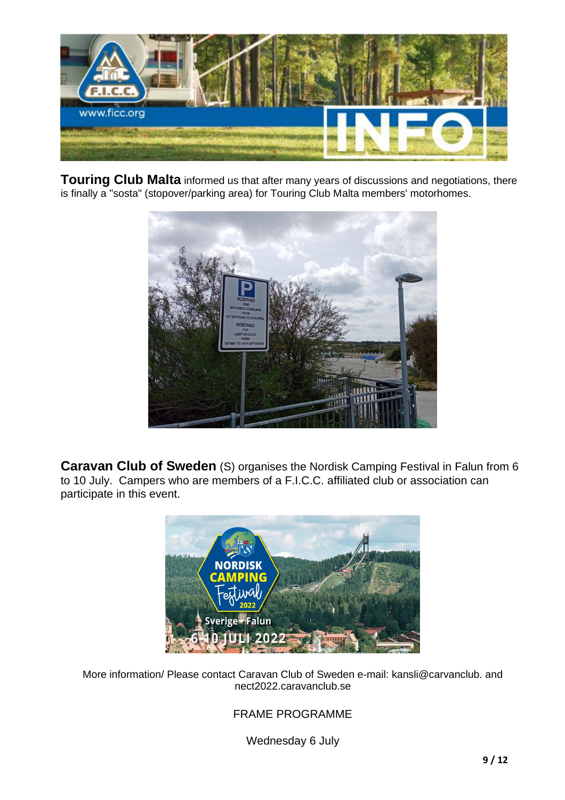

**Touring Club Malta** informed us that after many years of discussions and negotiations, there is finally a "sosta" (stopover/parking area) for Touring Club Malta members' motorhomes.



**Caravan Club of Sweden** (S) organises the Nordisk Camping Festival in Falun from 6 to 10 July. Campers who are members of a F.I.C.C. affiliated club or association can participate in this event.



More information/ Please contact Caravan Club of Sweden e-mail: kansli@carvanclub. and nect2022.caravanclub.se

FRAME PROGRAMME

Wednesday 6 July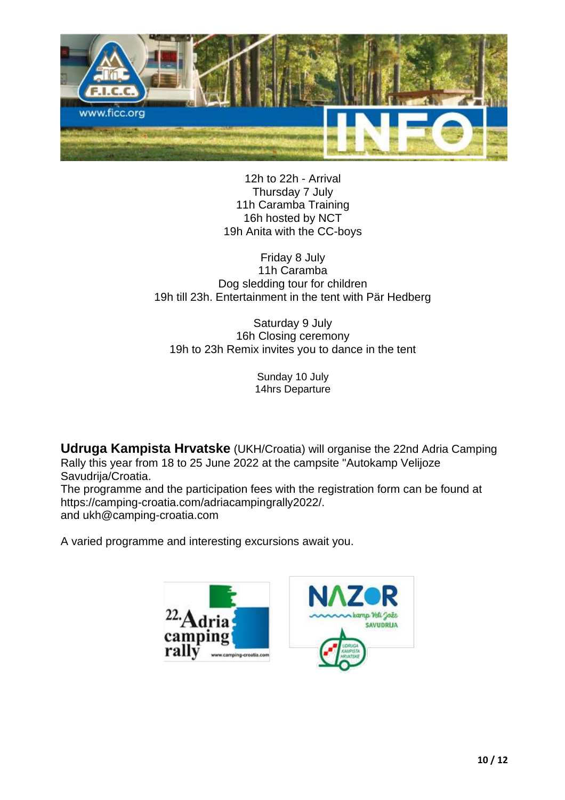

12h to 22h - Arrival Thursday 7 July 11h Caramba Training 16h hosted by NCT 19h Anita with the CC-boys

Friday 8 July 11h Caramba Dog sledding tour for children 19h till 23h. Entertainment in the tent with Pär Hedberg

Saturday 9 July 16h Closing ceremony 19h to 23h Remix invites you to dance in the tent

> Sunday 10 July 14hrs Departure

**Udruga Kampista Hrvatske** (UKH/Croatia) will organise the 22nd Adria Camping Rally this year from 18 to 25 June 2022 at the campsite "Autokamp Velijoze Savudrija/Croatia. The programme and the participation fees with the registration form can be found at

https://camping-croatia.com/adriacampingrally2022/. and ukh@camping-croatia.com

A varied programme and interesting excursions await you.

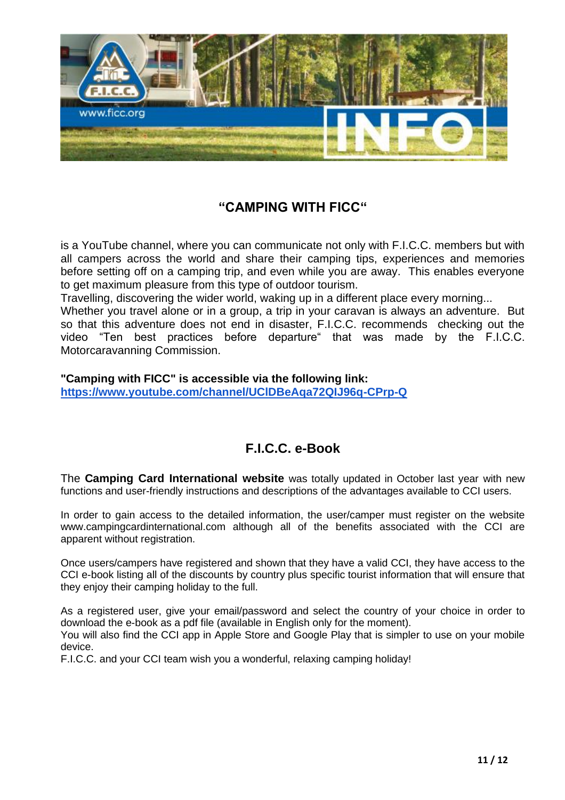

# **"CAMPING WITH FICC"**

is a YouTube channel, where you can communicate not only with F.I.C.C. members but with all campers across the world and share their camping tips, experiences and memories before setting off on a camping trip, and even while you are away. This enables everyone to get maximum pleasure from this type of outdoor tourism.

Travelling, discovering the wider world, waking up in a different place every morning...

Whether you travel alone or in a group, a trip in your caravan is always an adventure. But so that this adventure does not end in disaster, F.I.C.C. recommends checking out the video "Ten best practices before departure" that was made by the F.I.C.C. Motorcaravanning Commission.

**"Camping with FICC" is accessible via the following link:**

**<https://www.youtube.com/channel/UClDBeAqa72QIJ96q-CPrp-Q>**

# **F.I.C.C. e-Book**

The **Camping Card International website** was totally updated in October last year with new functions and user-friendly instructions and descriptions of the advantages available to CCI users.

In order to gain access to the detailed information, the user/camper must register on the website www.campingcardinternational.com although all of the benefits associated with the CCI are apparent without registration.

Once users/campers have registered and shown that they have a valid CCI, they have access to the CCI e-book listing all of the discounts by country plus specific tourist information that will ensure that they enjoy their camping holiday to the full.

As a registered user, give your email/password and select the country of your choice in order to download the e-book as a pdf file (available in English only for the moment).

You will also find the CCI app in Apple Store and Google Play that is simpler to use on your mobile device.

F.I.C.C. and your CCI team wish you a wonderful, relaxing camping holiday!